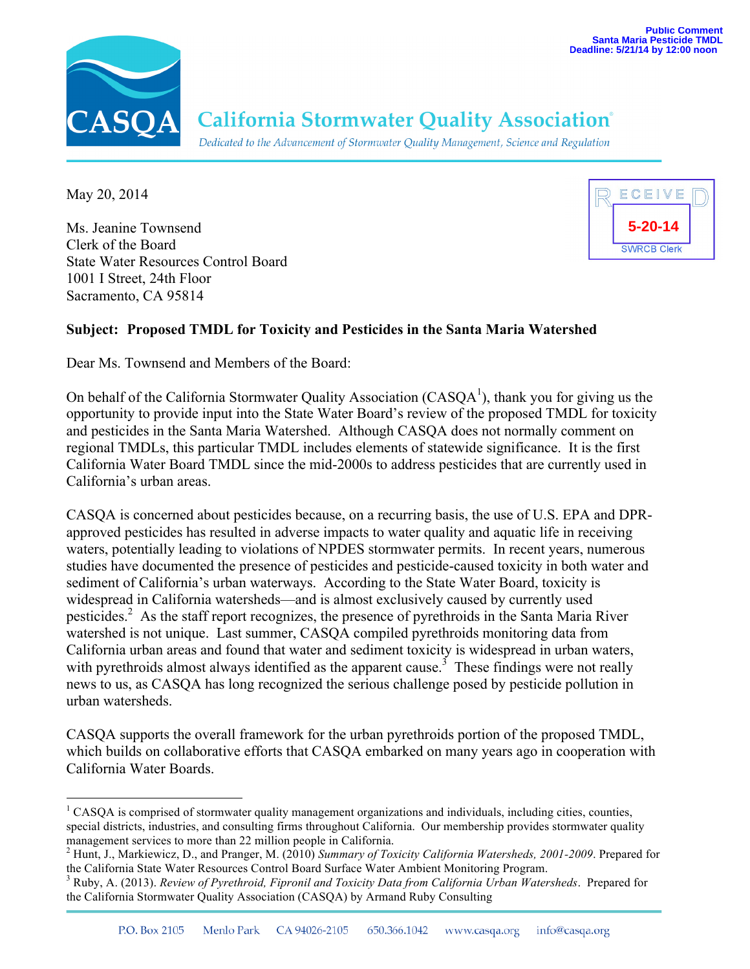

## **California Stormwater Quality Association®**

Dedicated to the Advancement of Stormwater Quality Management, Science and Regulation

May 20, 2014

Ms. Jeanine Townsend Clerk of the Board State Water Resources Control Board 1001 I Street, 24th Floor Sacramento, CA 95814



## **Subject: Proposed TMDL for Toxicity and Pesticides in the Santa Maria Watershed**

Dear Ms. Townsend and Members of the Board:

On behalf of the California Stormwater Quality Association ( $CASQA<sup>1</sup>$ ), thank you for giving us the opportunity to provide input into the State Water Board's review of the proposed TMDL for toxicity and pesticides in the Santa Maria Watershed. Although CASQA does not normally comment on regional TMDLs, this particular TMDL includes elements of statewide significance. It is the first California Water Board TMDL since the mid-2000s to address pesticides that are currently used in California's urban areas.

CASQA is concerned about pesticides because, on a recurring basis, the use of U.S. EPA and DPRapproved pesticides has resulted in adverse impacts to water quality and aquatic life in receiving waters, potentially leading to violations of NPDES stormwater permits. In recent years, numerous studies have documented the presence of pesticides and pesticide-caused toxicity in both water and sediment of California's urban waterways. According to the State Water Board, toxicity is widespread in California watersheds—and is almost exclusively caused by currently used pesticides.<sup>2</sup> As the staff report recognizes, the presence of pyrethroids in the Santa Maria River watershed is not unique. Last summer, CASQA compiled pyrethroids monitoring data from California urban areas and found that water and sediment toxicity is widespread in urban waters, with pyrethroids almost always identified as the apparent cause.<sup>3</sup> These findings were not really news to us, as CASQA has long recognized the serious challenge posed by pesticide pollution in urban watersheds.

CASQA supports the overall framework for the urban pyrethroids portion of the proposed TMDL, which builds on collaborative efforts that CASQA embarked on many years ago in cooperation with California Water Boards.

 <sup>1</sup> CASQA is comprised of stormwater quality management organizations and individuals, including cities, counties, special districts, industries, and consulting firms throughout California. Our membership provides stormwater quality management services to more than 22 million people in California.<br><sup>2</sup> Hunt, J., Markiewicz, D., and Pranger, M. (2010) *Summary of Toxicity California Watersheds, 2001-2009*. Prepared for

the California State Water Resources Control Board Surface Water Ambient Monitoring Program.

<sup>3</sup> Ruby, A. (2013). *Review of Pyrethroid, Fipronil and Toxicity Data from California Urban Watersheds*. Prepared for the California Stormwater Quality Association (CASQA) by Armand Ruby Consulting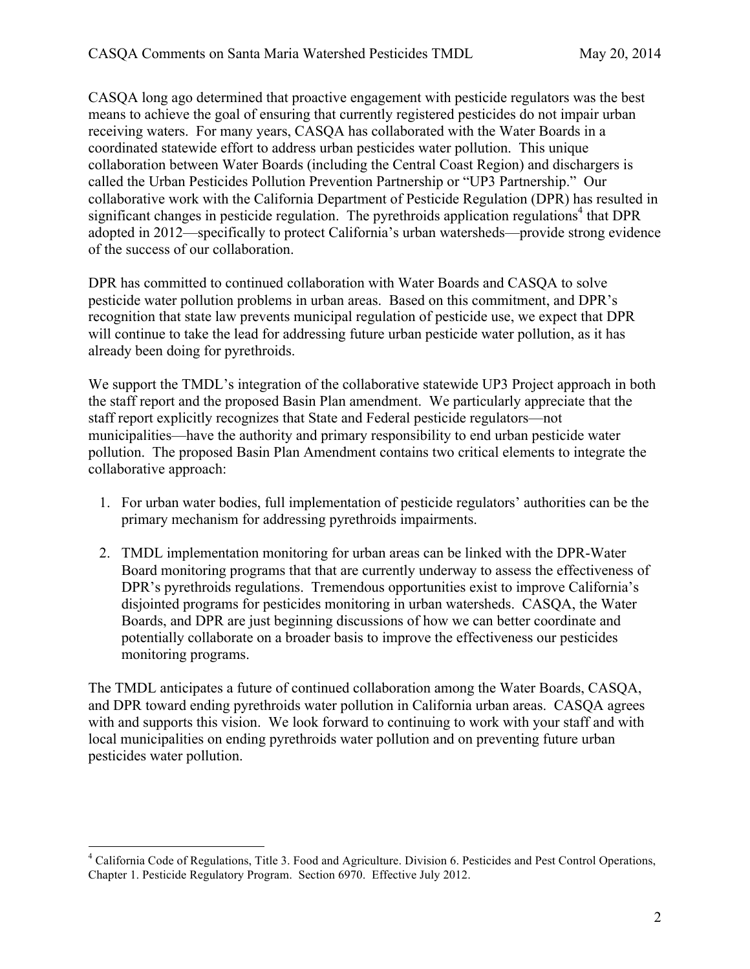CASQA long ago determined that proactive engagement with pesticide regulators was the best means to achieve the goal of ensuring that currently registered pesticides do not impair urban receiving waters. For many years, CASQA has collaborated with the Water Boards in a coordinated statewide effort to address urban pesticides water pollution. This unique collaboration between Water Boards (including the Central Coast Region) and dischargers is called the Urban Pesticides Pollution Prevention Partnership or "UP3 Partnership." Our collaborative work with the California Department of Pesticide Regulation (DPR) has resulted in significant changes in pesticide regulation. The pyrethroids application regulations<sup>4</sup> that DPR adopted in 2012—specifically to protect California's urban watersheds—provide strong evidence of the success of our collaboration.

DPR has committed to continued collaboration with Water Boards and CASQA to solve pesticide water pollution problems in urban areas. Based on this commitment, and DPR's recognition that state law prevents municipal regulation of pesticide use, we expect that DPR will continue to take the lead for addressing future urban pesticide water pollution, as it has already been doing for pyrethroids.

We support the TMDL's integration of the collaborative statewide UP3 Project approach in both the staff report and the proposed Basin Plan amendment. We particularly appreciate that the staff report explicitly recognizes that State and Federal pesticide regulators—not municipalities—have the authority and primary responsibility to end urban pesticide water pollution. The proposed Basin Plan Amendment contains two critical elements to integrate the collaborative approach:

- 1. For urban water bodies, full implementation of pesticide regulators' authorities can be the primary mechanism for addressing pyrethroids impairments.
- 2. TMDL implementation monitoring for urban areas can be linked with the DPR-Water Board monitoring programs that that are currently underway to assess the effectiveness of DPR's pyrethroids regulations. Tremendous opportunities exist to improve California's disjointed programs for pesticides monitoring in urban watersheds. CASQA, the Water Boards, and DPR are just beginning discussions of how we can better coordinate and potentially collaborate on a broader basis to improve the effectiveness our pesticides monitoring programs.

The TMDL anticipates a future of continued collaboration among the Water Boards, CASQA, and DPR toward ending pyrethroids water pollution in California urban areas. CASQA agrees with and supports this vision. We look forward to continuing to work with your staff and with local municipalities on ending pyrethroids water pollution and on preventing future urban pesticides water pollution.

 <sup>4</sup> California Code of Regulations, Title 3. Food and Agriculture. Division 6. Pesticides and Pest Control Operations, Chapter 1. Pesticide Regulatory Program. Section 6970. Effective July 2012.